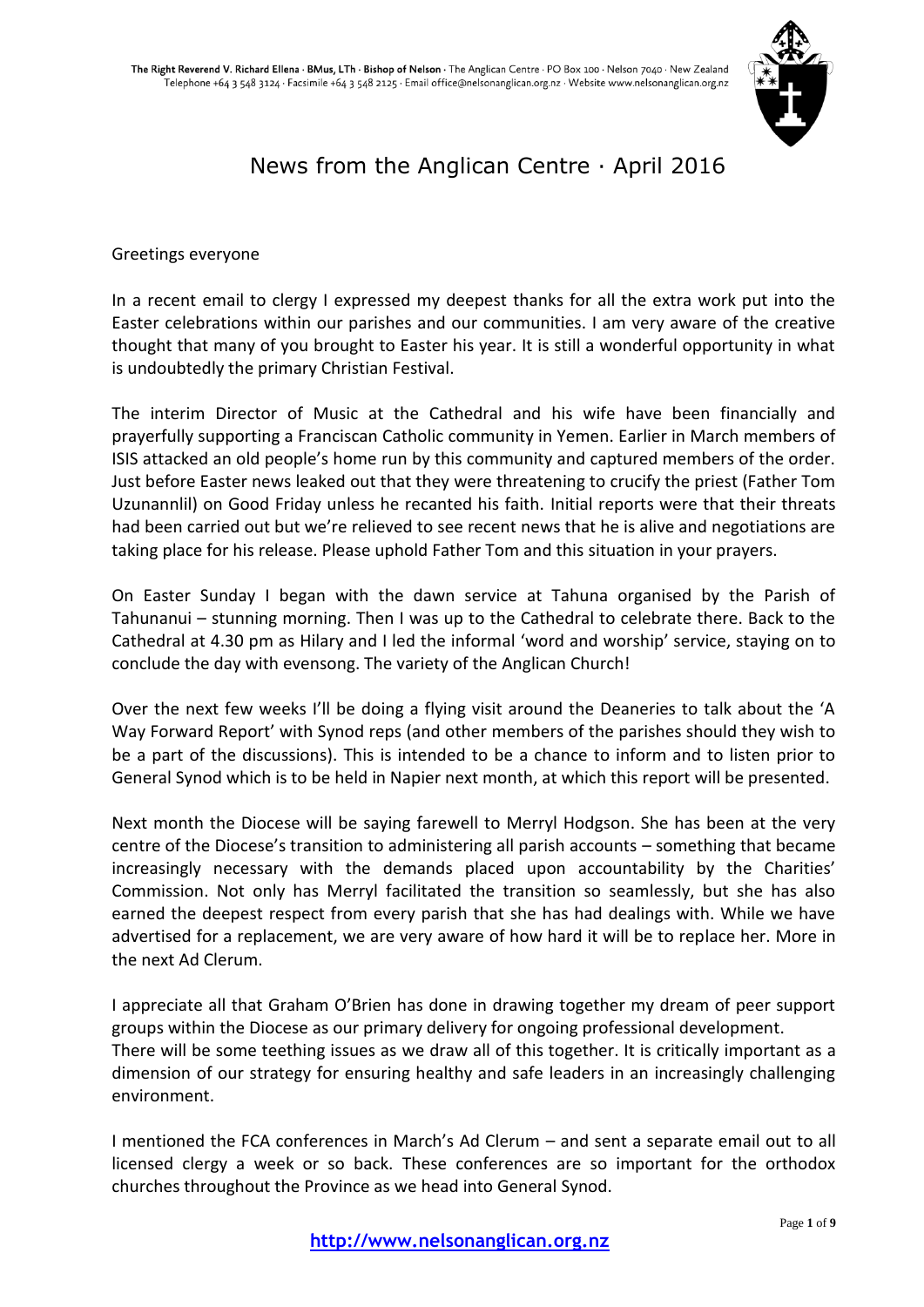

# News from the Anglican Centre · April 2016

Greetings everyone

In a recent email to clergy I expressed my deepest thanks for all the extra work put into the Easter celebrations within our parishes and our communities. I am very aware of the creative thought that many of you brought to Easter his year. It is still a wonderful opportunity in what is undoubtedly the primary Christian Festival.

The interim Director of Music at the Cathedral and his wife have been financially and prayerfully supporting a Franciscan Catholic community in Yemen. Earlier in March members of ISIS attacked an old people's home run by this community and captured members of the order. Just before Easter news leaked out that they were threatening to crucify the priest (Father Tom Uzunannlil) on Good Friday unless he recanted his faith. Initial reports were that their threats had been carried out but we're relieved to see recent news that he is alive and negotiations are taking place for his release. Please uphold Father Tom and this situation in your prayers.

On Easter Sunday I began with the dawn service at Tahuna organised by the Parish of Tahunanui – stunning morning. Then I was up to the Cathedral to celebrate there. Back to the Cathedral at 4.30 pm as Hilary and I led the informal 'word and worship' service, staying on to conclude the day with evensong. The variety of the Anglican Church!

Over the next few weeks I'll be doing a flying visit around the Deaneries to talk about the 'A Way Forward Report' with Synod reps (and other members of the parishes should they wish to be a part of the discussions). This is intended to be a chance to inform and to listen prior to General Synod which is to be held in Napier next month, at which this report will be presented.

Next month the Diocese will be saying farewell to Merryl Hodgson. She has been at the very centre of the Diocese's transition to administering all parish accounts – something that became increasingly necessary with the demands placed upon accountability by the Charities' Commission. Not only has Merryl facilitated the transition so seamlessly, but she has also earned the deepest respect from every parish that she has had dealings with. While we have advertised for a replacement, we are very aware of how hard it will be to replace her. More in the next Ad Clerum.

I appreciate all that Graham O'Brien has done in drawing together my dream of peer support groups within the Diocese as our primary delivery for ongoing professional development. There will be some teething issues as we draw all of this together. It is critically important as a dimension of our strategy for ensuring healthy and safe leaders in an increasingly challenging environment.

I mentioned the FCA conferences in March's Ad Clerum – and sent a separate email out to all licensed clergy a week or so back. These conferences are so important for the orthodox churches throughout the Province as we head into General Synod.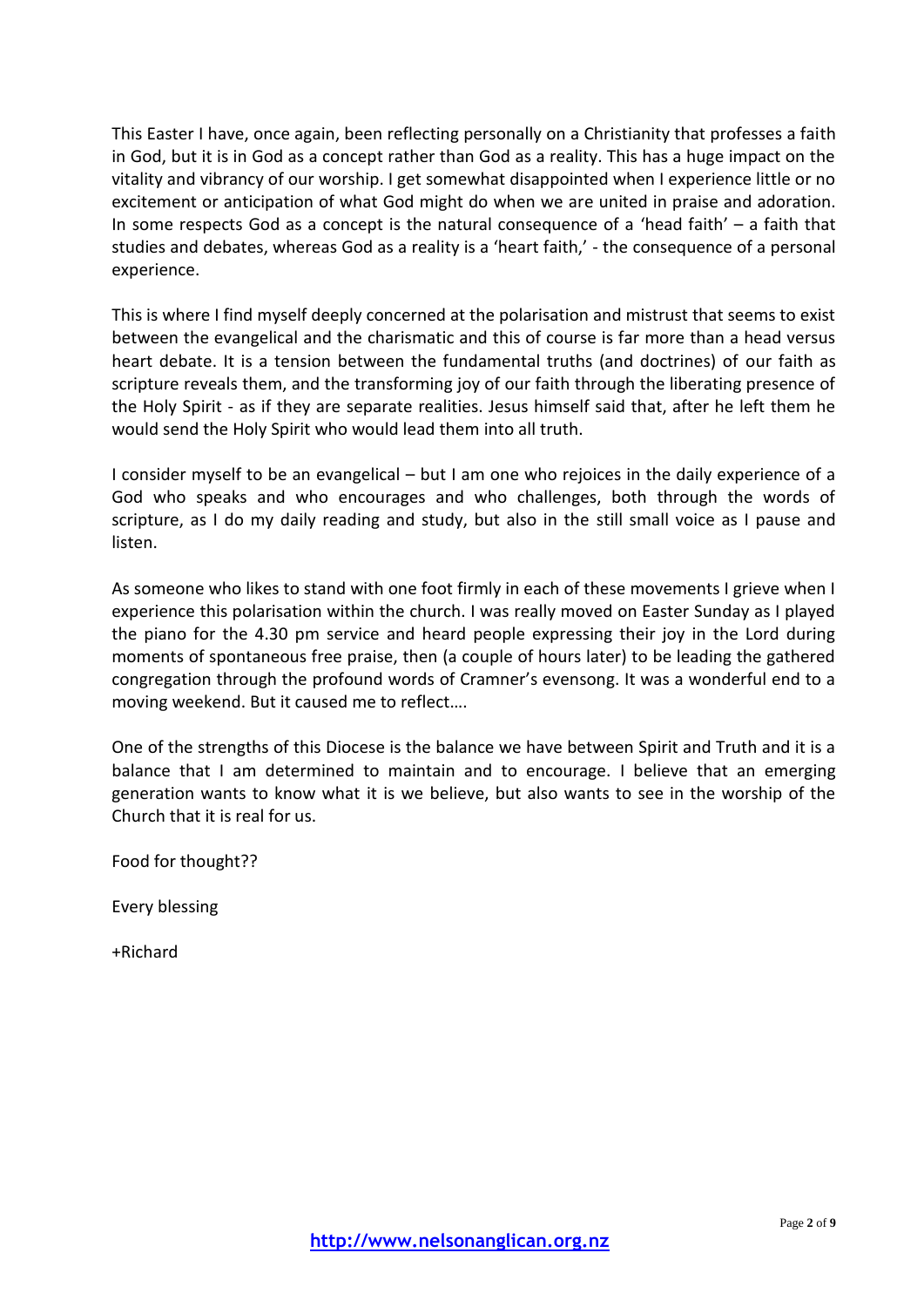This Easter I have, once again, been reflecting personally on a Christianity that professes a faith in God, but it is in God as a concept rather than God as a reality. This has a huge impact on the vitality and vibrancy of our worship. I get somewhat disappointed when I experience little or no excitement or anticipation of what God might do when we are united in praise and adoration. In some respects God as a concept is the natural consequence of a 'head faith' – a faith that studies and debates, whereas God as a reality is a 'heart faith,' - the consequence of a personal experience.

This is where I find myself deeply concerned at the polarisation and mistrust that seems to exist between the evangelical and the charismatic and this of course is far more than a head versus heart debate. It is a tension between the fundamental truths (and doctrines) of our faith as scripture reveals them, and the transforming joy of our faith through the liberating presence of the Holy Spirit - as if they are separate realities. Jesus himself said that, after he left them he would send the Holy Spirit who would lead them into all truth.

I consider myself to be an evangelical – but I am one who rejoices in the daily experience of a God who speaks and who encourages and who challenges, both through the words of scripture, as I do my daily reading and study, but also in the still small voice as I pause and listen.

As someone who likes to stand with one foot firmly in each of these movements I grieve when I experience this polarisation within the church. I was really moved on Easter Sunday as I played the piano for the 4.30 pm service and heard people expressing their joy in the Lord during moments of spontaneous free praise, then (a couple of hours later) to be leading the gathered congregation through the profound words of Cramner's evensong. It was a wonderful end to a moving weekend. But it caused me to reflect….

One of the strengths of this Diocese is the balance we have between Spirit and Truth and it is a balance that I am determined to maintain and to encourage. I believe that an emerging generation wants to know what it is we believe, but also wants to see in the worship of the Church that it is real for us.

Food for thought??

Every blessing

+Richard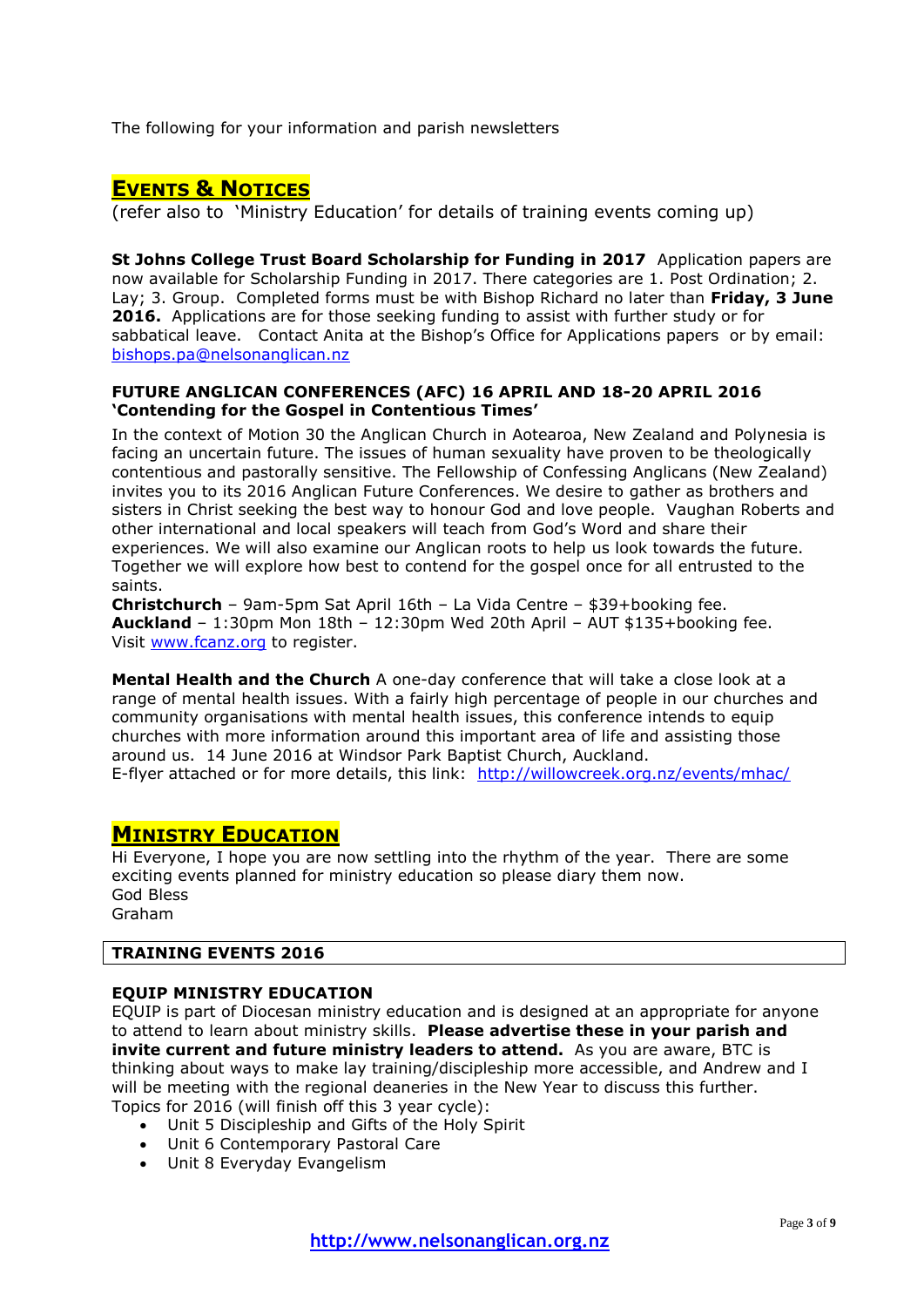The following for your information and parish newsletters

## **EVENTS & NOTICES**

(refer also to 'Ministry Education' for details of training events coming up)

**St Johns College Trust Board Scholarship for Funding in 2017** Application papers are now available for Scholarship Funding in 2017. There categories are 1. Post Ordination; 2. Lay; 3. Group. Completed forms must be with Bishop Richard no later than **Friday, 3 June 2016.** Applications are for those seeking funding to assist with further study or for sabbatical leave. Contact Anita at the Bishop's Office for Applications papers or by email: [bishops.pa@nelsonanglican.nz](mailto:bishops.pa@nelsonanglican.nz)

#### **FUTURE ANGLICAN CONFERENCES (AFC) 16 APRIL AND 18-20 APRIL 2016 'Contending for the Gospel in Contentious Times'**

In the context of Motion 30 the Anglican Church in Aotearoa, New Zealand and Polynesia is facing an uncertain future. The issues of human sexuality have proven to be theologically contentious and pastorally sensitive. The Fellowship of Confessing Anglicans (New Zealand) invites you to its 2016 Anglican Future Conferences. We desire to gather as brothers and sisters in Christ seeking the best way to honour God and love people. Vaughan Roberts and other international and local speakers will teach from God's Word and share their experiences. We will also examine our Anglican roots to help us look towards the future. Together we will explore how best to contend for the gospel once for all entrusted to the saints.

**Christchurch** – 9am-5pm Sat April 16th – La Vida Centre – \$39+booking fee. **Auckland** – 1:30pm Mon 18th – 12:30pm Wed 20th April – AUT \$135+booking fee. Visit [www.fcanz.org](http://www.fcanz.org/) to register.

**Mental Health and the Church** A one-day conference that will take a close look at a range of mental health issues. With a fairly high percentage of people in our churches and community organisations with mental health issues, this conference intends to equip churches with more information around this important area of life and assisting those around us. 14 June 2016 at Windsor Park Baptist Church, Auckland. E-flyer attached or for more details, this link: <http://willowcreek.org.nz/events/mhac/>

## **MINISTRY EDUCATION**

Hi Everyone, I hope you are now settling into the rhythm of the year. There are some exciting events planned for ministry education so please diary them now. God Bless Graham

## **TRAINING EVENTS 2016**

### **EQUIP MINISTRY EDUCATION**

EQUIP is part of Diocesan ministry education and is designed at an appropriate for anyone to attend to learn about ministry skills. **Please advertise these in your parish and invite current and future ministry leaders to attend.** As you are aware, BTC is thinking about ways to make lay training/discipleship more accessible, and Andrew and I will be meeting with the regional deaneries in the New Year to discuss this further. Topics for 2016 (will finish off this 3 year cycle):

- Unit 5 Discipleship and Gifts of the Holy Spirit
- Unit 6 Contemporary Pastoral Care
- Unit 8 Everyday Evangelism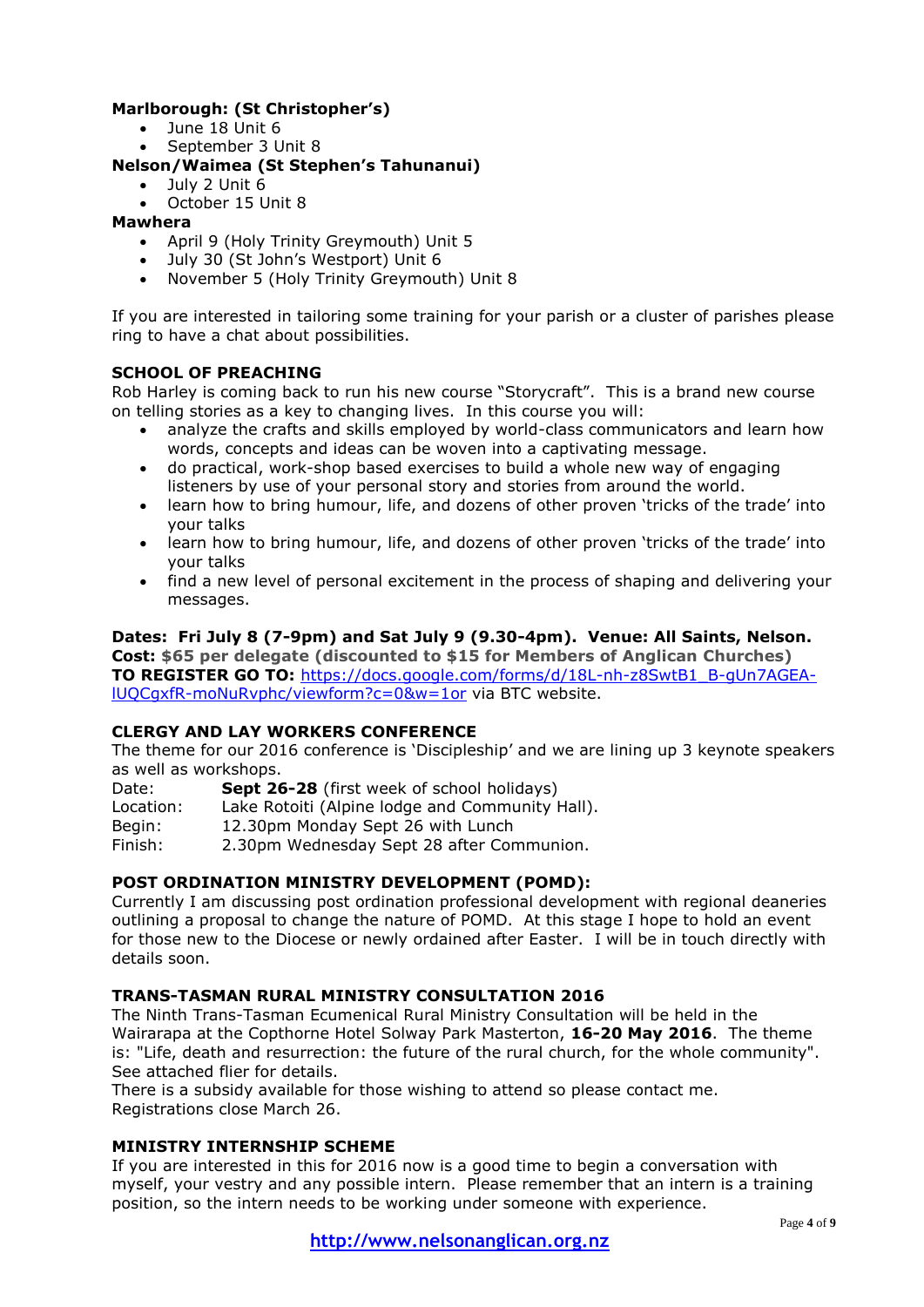## **Marlborough: (St Christopher's)**

- June 18 Unit 6
- September 3 Unit 8

## **Nelson/Waimea (St Stephen's Tahunanui)**

- July 2 Unit 6
- October 15 Unit 8

### **Mawhera**

- April 9 (Holy Trinity Greymouth) Unit 5
- July 30 (St John's Westport) Unit 6
- November 5 (Holy Trinity Greymouth) Unit 8

If you are interested in tailoring some training for your parish or a cluster of parishes please ring to have a chat about possibilities.

### **SCHOOL OF PREACHING**

Rob Harley is coming back to run his new course "Storycraft". This is a brand new course on telling stories as a key to changing lives. In this course you will:

- analyze the crafts and skills employed by world-class communicators and learn how words, concepts and ideas can be woven into a captivating message.
- do practical, work-shop based exercises to build a whole new way of engaging listeners by use of your personal story and stories from around the world.
- learn how to bring humour, life, and dozens of other proven 'tricks of the trade' into your talks
- learn how to bring humour, life, and dozens of other proven 'tricks of the trade' into your talks
- find a new level of personal excitement in the process of shaping and delivering your messages.

**Dates: Fri July 8 (7-9pm) and Sat July 9 (9.30-4pm). Venue: All Saints, Nelson. Cost: \$65 per delegate (discounted to \$15 for Members of Anglican Churches) TO REGISTER GO TO:** [https://docs.google.com/forms/d/18L-nh-z8SwtB1\\_B-gUn7AGEA](https://docs.google.com/forms/d/18L-nh-z8SwtB1_B-gUn7AGEA-lUQCgxfR-moNuRvphc/viewform?c=0&w=1or)[lUQCgxfR-moNuRvphc/viewform?c=0&w=1or](https://docs.google.com/forms/d/18L-nh-z8SwtB1_B-gUn7AGEA-lUQCgxfR-moNuRvphc/viewform?c=0&w=1or) via BTC website.

#### **CLERGY AND LAY WORKERS CONFERENCE**

The theme for our 2016 conference is 'Discipleship' and we are lining up 3 keynote speakers as well as workshops.

Date: **Sept 26-28** (first week of school holidays) Location: Lake Rotoiti (Alpine lodge and Community Hall). Begin: 12.30pm Monday Sept 26 with Lunch

Finish: 2.30pm Wednesday Sept 28 after Communion.

## **POST ORDINATION MINISTRY DEVELOPMENT (POMD):**

Currently I am discussing post ordination professional development with regional deaneries outlining a proposal to change the nature of POMD. At this stage I hope to hold an event for those new to the Diocese or newly ordained after Easter. I will be in touch directly with details soon.

### **TRANS-TASMAN RURAL MINISTRY CONSULTATION 2016**

The Ninth Trans-Tasman Ecumenical Rural Ministry Consultation will be held in the Wairarapa at the Copthorne Hotel Solway Park Masterton, **16-20 May 2016**. The theme is: "Life, death and resurrection: the future of the rural church, for the whole community". See attached flier for details.

There is a subsidy available for those wishing to attend so please contact me. Registrations close March 26.

## **MINISTRY INTERNSHIP SCHEME**

If you are interested in this for 2016 now is a good time to begin a conversation with myself, your vestry and any possible intern. Please remember that an intern is a training position, so the intern needs to be working under someone with experience.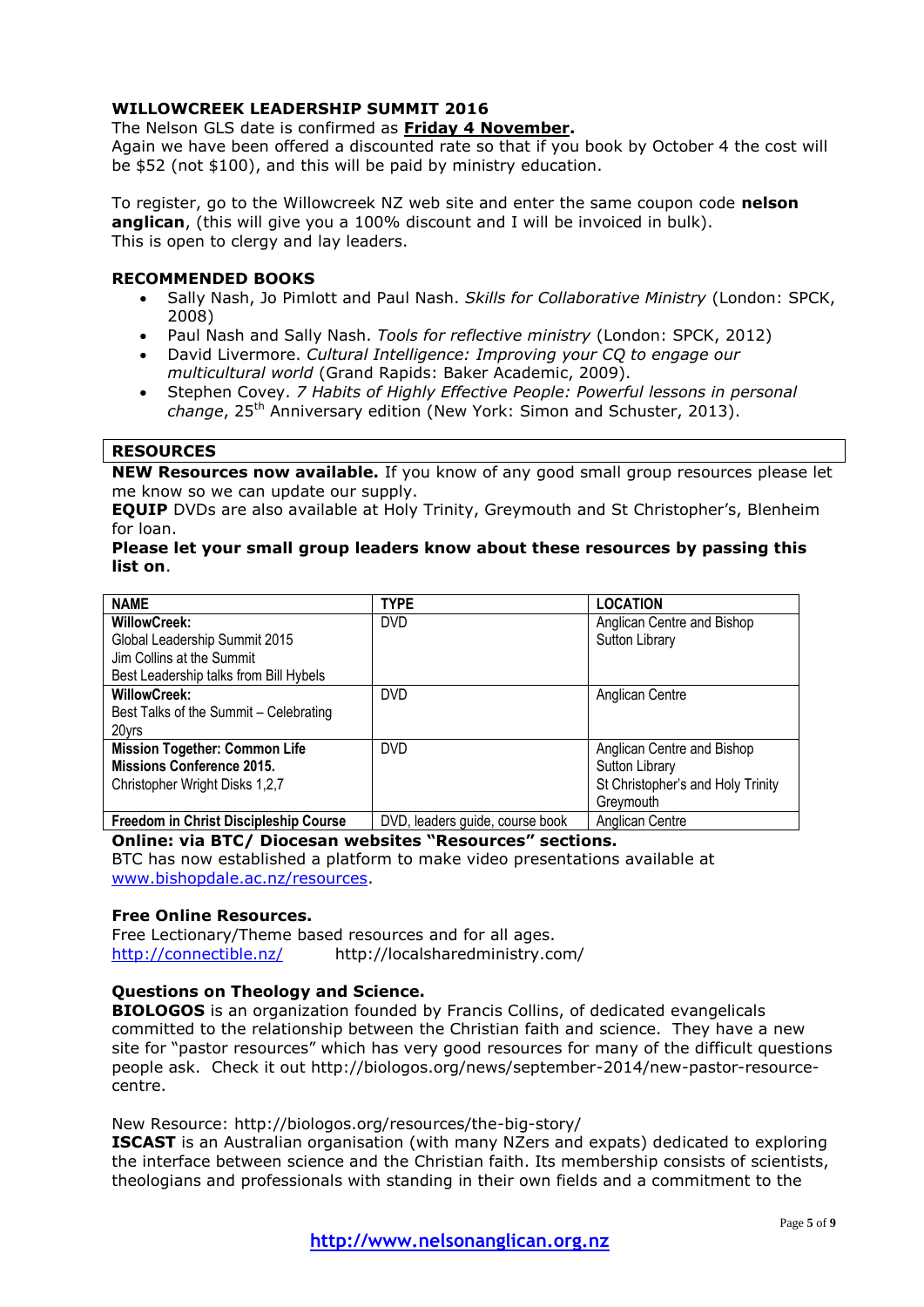## **WILLOWCREEK LEADERSHIP SUMMIT 2016**

#### The Nelson GLS date is confirmed as **Friday 4 November.**

Again we have been offered a discounted rate so that if you book by October 4 the cost will be \$52 (not \$100), and this will be paid by ministry education.

To register, go to the Willowcreek NZ web site and enter the same coupon code **nelson anglican**, (this will give you a 100% discount and I will be invoiced in bulk). This is open to clergy and lay leaders.

#### **RECOMMENDED BOOKS**

- Sally Nash, Jo Pimlott and Paul Nash. *Skills for Collaborative Ministry* (London: SPCK, 2008)
- Paul Nash and Sally Nash. *Tools for reflective ministry* (London: SPCK, 2012)
- David Livermore. *Cultural Intelligence: Improving your CQ to engage our multicultural world* (Grand Rapids: Baker Academic, 2009).
- Stephen Covey. *7 Habits of Highly Effective People: Powerful lessons in personal change*, 25th Anniversary edition (New York: Simon and Schuster, 2013).

#### **RESOURCES**

**NEW Resources now available.** If you know of any good small group resources please let me know so we can update our supply.

**EQUIP** DVDs are also available at Holy Trinity, Greymouth and St Christopher's, Blenheim for loan.

#### **Please let your small group leaders know about these resources by passing this list on**.

| <b>NAME</b>                                                        | <b>TYPE</b>             | <b>LOCATION</b>                                           |
|--------------------------------------------------------------------|-------------------------|-----------------------------------------------------------|
| <b>WillowCreek:</b>                                                | <b>DVD</b>              | Anglican Centre and Bishop                                |
| Global Leadership Summit 2015                                      |                         | Sutton Library                                            |
| Jim Collins at the Summit                                          |                         |                                                           |
| Best Leadership talks from Bill Hybels                             |                         |                                                           |
| <b>WillowCreek:</b>                                                | <b>DVD</b>              | Anglican Centre                                           |
| Best Talks of the Summit - Celebrating                             |                         |                                                           |
| 20yrs                                                              |                         |                                                           |
| <b>Mission Together: Common Life</b>                               | <b>DVD</b>              | Anglican Centre and Bishop                                |
| <b>Missions Conference 2015.</b>                                   |                         | Sutton Library                                            |
| Christopher Wright Disks 1,2,7                                     |                         | St Christopher's and Holy Trinity                         |
|                                                                    |                         | Greymouth                                                 |
| $\mathbf{F}$ . It is a contract that is a contract of $\mathbf{A}$ | $\mathbf{D} \mathbf{D}$ | $\mathbf{A}$ . $\mathbf{B}$ . $\mathbf{A}$ . $\mathbf{A}$ |

**Freedom in Christ Discipleship Course** DVD, leaders guide, course book Anglican Centre

**Online: via BTC/ Diocesan websites "Resources" sections.** BTC has now established a platform to make video presentations available at [www.bishopdale.ac.nz/resources.](http://www.bishopdale.ac.nz/resources)

#### **Free Online Resources.**

Free Lectionary/Theme based resources and for all ages. <http://connectible.nz/> http://localsharedministry.com/

#### **Questions on Theology and Science.**

**BIOLOGOS** is an organization founded by Francis Collins, of dedicated evangelicals committed to the relationship between the Christian faith and science. They have a new site for "pastor resources" which has very good resources for many of the difficult questions people ask. Check it out http://biologos.org/news/september-2014/new-pastor-resourcecentre.

New Resource: http://biologos.org/resources/the-big-story/

**ISCAST** is an Australian organisation (with many NZers and expats) dedicated to exploring the interface between science and the Christian faith. Its membership consists of scientists, theologians and professionals with standing in their own fields and a commitment to the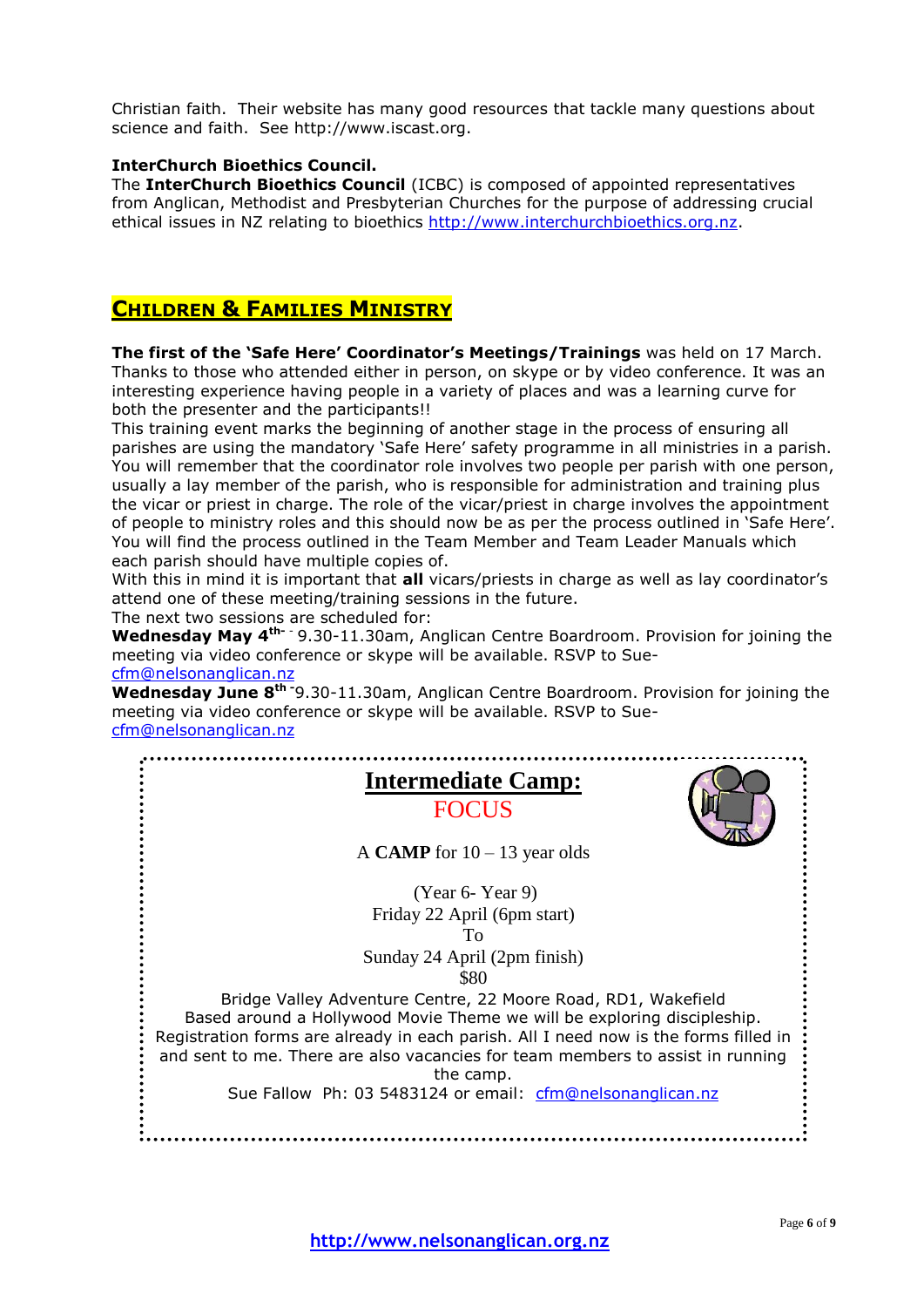Christian faith. Their website has many good resources that tackle many questions about science and faith. See http://www.iscast.org.

#### **InterChurch Bioethics Council.**

The **InterChurch Bioethics Council** (ICBC) is composed of appointed representatives from Anglican, Methodist and Presbyterian Churches for the purpose of addressing crucial ethical issues in NZ relating to bioethics [http://www.interchurchbioethics.org.nz.](http://www.interchurchbioethics.org.nz/)

## **CHILDREN & FAMILIES MINISTRY**

**The first of the 'Safe Here' Coordinator's Meetings/Trainings** was held on 17 March. Thanks to those who attended either in person, on skype or by video conference. It was an interesting experience having people in a variety of places and was a learning curve for both the presenter and the participants!!

This training event marks the beginning of another stage in the process of ensuring all parishes are using the mandatory 'Safe Here' safety programme in all ministries in a parish. You will remember that the coordinator role involves two people per parish with one person, usually a lay member of the parish, who is responsible for administration and training plus the vicar or priest in charge. The role of the vicar/priest in charge involves the appointment of people to ministry roles and this should now be as per the process outlined in 'Safe Here'. You will find the process outlined in the Team Member and Team Leader Manuals which each parish should have multiple copies of.

With this in mind it is important that **all** vicars/priests in charge as well as lay coordinator's attend one of these meeting/training sessions in the future.

The next two sessions are scheduled for:

**Wednesday May 4th-** - 9.30-11.30am, Anglican Centre Boardroom. Provision for joining the meeting via video conference or skype will be available. RSVP to Sue[cfm@nelsonanglican.nz](mailto:cfm@nelsonanglican.nz)

**Wednesday June 8th -**9.30-11.30am, Anglican Centre Boardroom. Provision for joining the meeting via video conference or skype will be available. RSVP to Sue[cfm@nelsonanglican.nz](mailto:cfm@nelsonanglican.nz)

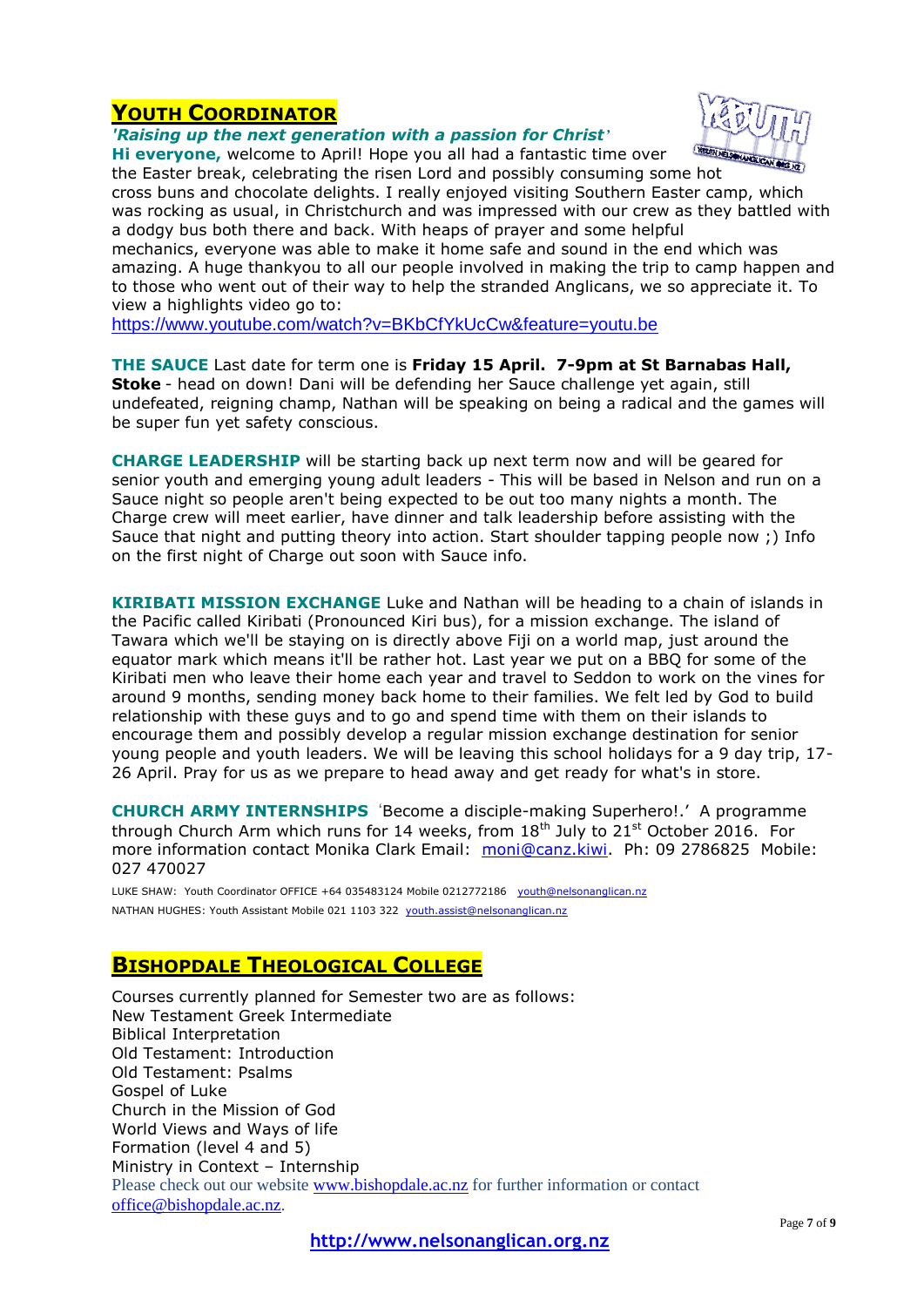## **YOUTH COORDINATOR**

*'Raising up the next generation with a passion for Christ'*



**Hi everyone,** welcome to April! Hope you all had a fantastic time over

the Easter break, celebrating the risen Lord and possibly consuming some hot cross buns and chocolate delights. I really enjoyed visiting Southern Easter camp, which was rocking as usual, in Christchurch and was impressed with our crew as they battled with a dodgy bus both there and back. With heaps of prayer and some helpful mechanics, everyone was able to make it home safe and sound in the end which was amazing. A huge thankyou to all our people involved in making the trip to camp happen and to those who went out of their way to help the stranded Anglicans, we so appreciate it. To view a highlights video go to:

<https://www.youtube.com/watch?v=BKbCfYkUcCw&feature=youtu.be>

**THE SAUCE** Last date for term one is **Friday 15 April. 7-9pm at St Barnabas Hall, Stoke** - head on down! Dani will be defending her Sauce challenge yet again, still undefeated, reigning champ, Nathan will be speaking on being a radical and the games will be super fun yet safety conscious.

**CHARGE LEADERSHIP** will be starting back up next term now and will be geared for senior youth and emerging young adult leaders - This will be based in Nelson and run on a Sauce night so people aren't being expected to be out too many nights a month. The Charge crew will meet earlier, have dinner and talk leadership before assisting with the Sauce that night and putting theory into action. Start shoulder tapping people now ;) Info on the first night of Charge out soon with Sauce info.

**KIRIBATI MISSION EXCHANGE** Luke and Nathan will be heading to a chain of islands in the Pacific called Kiribati (Pronounced Kiri bus), for a mission exchange. The island of Tawara which we'll be staying on is directly above Fiji on a world map, just around the equator mark which means it'll be rather hot. Last year we put on a BBQ for some of the Kiribati men who leave their home each year and travel to Seddon to work on the vines for around 9 months, sending money back home to their families. We felt led by God to build relationship with these guys and to go and spend time with them on their islands to encourage them and possibly develop a regular mission exchange destination for senior young people and youth leaders. We will be leaving this school holidays for a 9 day trip, 17- 26 April. Pray for us as we prepare to head away and get ready for what's in store.

**CHURCH ARMY INTERNSHIPS** 'Become a disciple-making Superhero!.' A programme through Church Arm which runs for 14 weeks, from  $18<sup>th</sup>$  July to  $21<sup>st</sup>$  October 2016. For more information contact Monika Clark Email: [moni@canz.kiwi.](mailto:moni@canz.kiwi) Ph: 09 2786825 Mobile: 027 470027

LUKE SHAW: Youth Coordinator OFFICE +64 035483124 Mobile 0212772186 [youth@nelsonanglican.nz](mailto:youth@nelsonanglican.nz) NATHAN HUGHES: Youth Assistant Mobile 021 1103 322 [youth.assist@nelsonanglican.nz](mailto:youth.assist@nelsonanglican.nz)

## **BISHOPDALE THEOLOGICAL COLLEGE**

Courses currently planned for Semester two are as follows: New Testament Greek Intermediate Biblical Interpretation Old Testament: Introduction Old Testament: Psalms Gospel of Luke Church in the Mission of God World Views and Ways of life Formation (level 4 and 5) Ministry in Context – Internship Please check out our website [www.bishopdale.ac.nz](http://www.bishopdale.ac.nz/) for further information or contact [office@bishopdale.ac.nz.](mailto:office@bishopdale.ac.nz)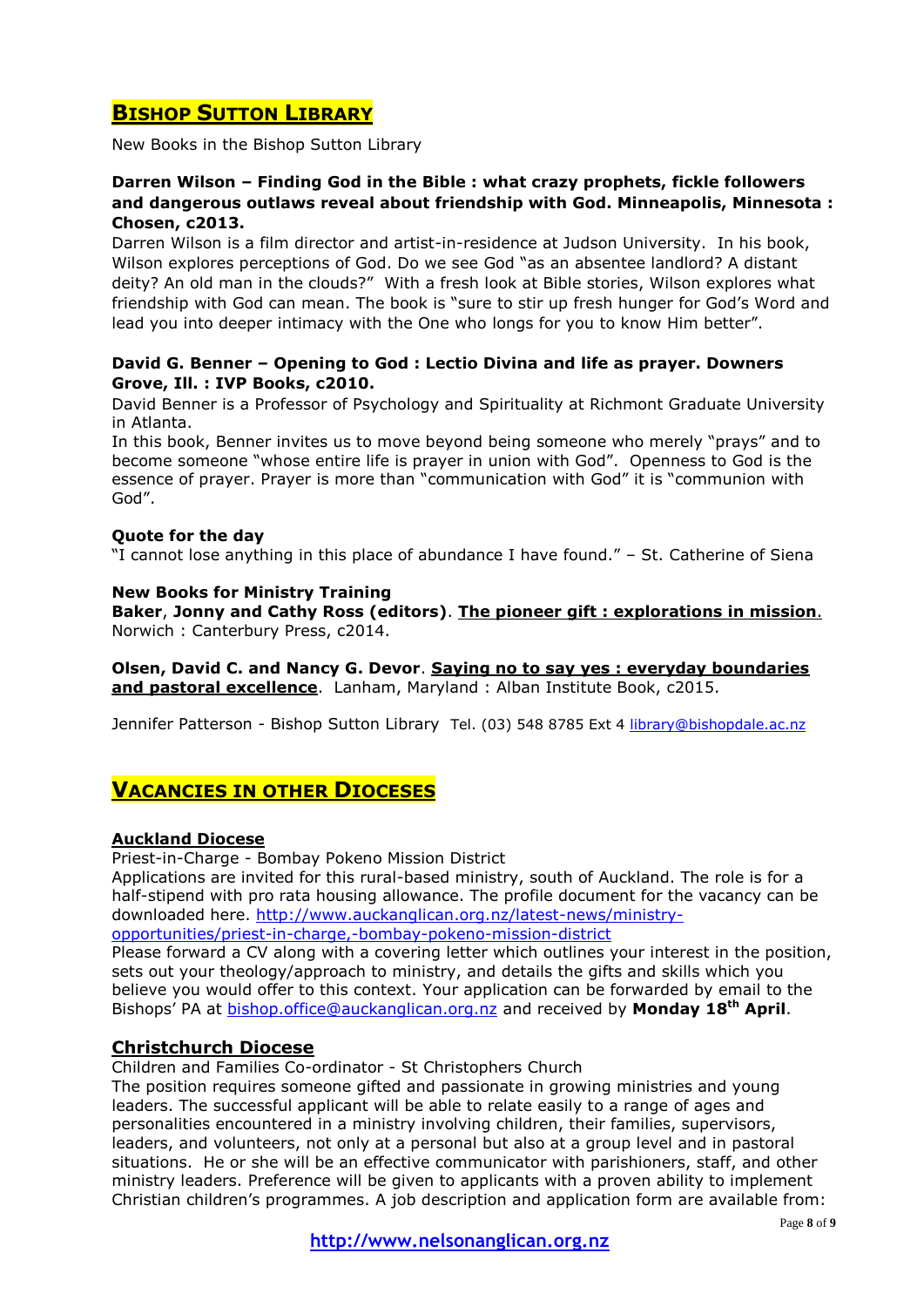## **BISHOP SUTTON LIBRARY**

New Books in the Bishop Sutton Library

### **Darren Wilson – Finding God in the Bible : what crazy prophets, fickle followers and dangerous outlaws reveal about friendship with God. Minneapolis, Minnesota : Chosen, c2013.**

Darren Wilson is a film director and artist-in-residence at Judson University. In his book, Wilson explores perceptions of God. Do we see God "as an absentee landlord? A distant deity? An old man in the clouds?" With a fresh look at Bible stories, Wilson explores what friendship with God can mean. The book is "sure to stir up fresh hunger for God's Word and lead you into deeper intimacy with the One who longs for you to know Him better".

### **David G. Benner – Opening to God : Lectio Divina and life as prayer. Downers Grove, Ill. : IVP Books, c2010.**

David Benner is a Professor of Psychology and Spirituality at Richmont Graduate University in Atlanta.

In this book, Benner invites us to move beyond being someone who merely "prays" and to become someone "whose entire life is prayer in union with God". Openness to God is the essence of prayer. Prayer is more than "communication with God" it is "communion with God".

#### **Quote for the day**

"I cannot lose anything in this place of abundance I have found." – St. Catherine of Siena

### **New Books for Ministry Training**

**Baker**, **Jonny and Cathy Ross (editors)**. **The pioneer gift : explorations in mission**. Norwich : Canterbury Press, c2014.

**Olsen, David C. and Nancy G. Devor**. **Saying no to say yes : everyday boundaries and pastoral excellence**. Lanham, Maryland : Alban Institute Book, c2015.

Jennifer Patterson - Bishop Sutton Library Tel. (03) 548 8785 Ext 4 [library@bishopdale.ac.nz](mailto:library@bishopdale.ac.nz)

## **VACANCIES IN OTHER DIOCESES**

#### **Auckland Diocese**

Priest-in-Charge - Bombay Pokeno Mission District

Applications are invited for this rural-based ministry, south of Auckland. The role is for a half-stipend with pro rata housing allowance. The profile document for the vacancy can be downloaded here. [http://www.auckanglican.org.nz/latest-news/ministry](http://www.auckanglican.org.nz/latest-news/ministry-opportunities/priest-in-charge,-bombay-pokeno-mission-district)[opportunities/priest-in-charge,-bombay-pokeno-mission-district](http://www.auckanglican.org.nz/latest-news/ministry-opportunities/priest-in-charge,-bombay-pokeno-mission-district)

Please forward a CV along with a covering letter which outlines your interest in the position, sets out your theology/approach to ministry, and details the gifts and skills which you believe you would offer to this context. Your application can be forwarded by email to the Bishops' PA at [bishop.office@auckanglican.org.nz](mailto:bishop.office@auckanglican.org.nz) and received by **Monday 18th April**.

## **Christchurch Diocese**

Children and Families Co-ordinator - St Christophers Church

The position requires someone gifted and passionate in growing ministries and young leaders. The successful applicant will be able to relate easily to a range of ages and personalities encountered in a ministry involving children, their families, supervisors, leaders, and volunteers, not only at a personal but also at a group level and in pastoral situations. He or she will be an effective communicator with parishioners, staff, and other ministry leaders. Preference will be given to applicants with a proven ability to implement Christian children's programmes. A job description and application form are available from: